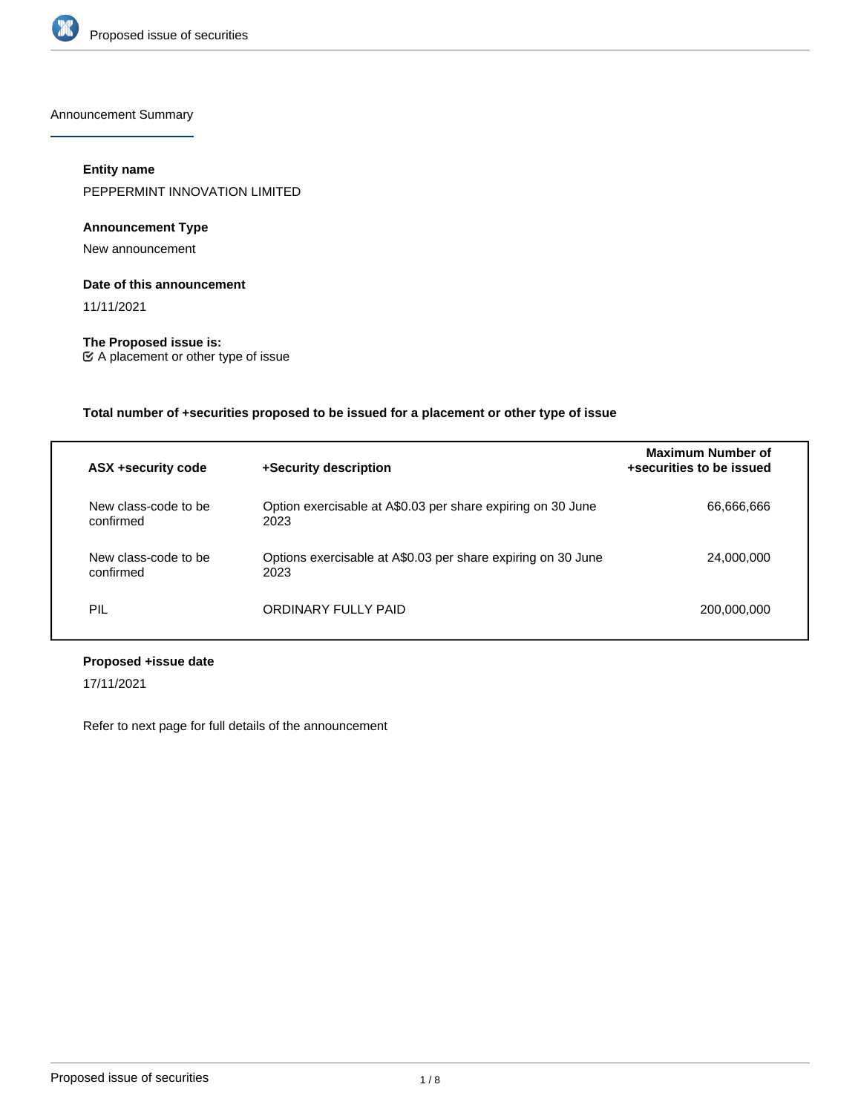

Announcement Summary

## **Entity name**

PEPPERMINT INNOVATION LIMITED

## **Announcement Type**

New announcement

## **Date of this announcement**

11/11/2021

**The Proposed issue is:**

A placement or other type of issue

## **Total number of +securities proposed to be issued for a placement or other type of issue**

| ASX +security code                | +Security description                                                | <b>Maximum Number of</b><br>+securities to be issued |
|-----------------------------------|----------------------------------------------------------------------|------------------------------------------------------|
| New class-code to be<br>confirmed | Option exercisable at A\$0.03 per share expiring on 30 June<br>2023  | 66,666,666                                           |
| New class-code to be<br>confirmed | Options exercisable at A\$0.03 per share expiring on 30 June<br>2023 | 24,000,000                                           |
| PIL                               | ORDINARY FULLY PAID                                                  | 200,000,000                                          |

## **Proposed +issue date**

17/11/2021

Refer to next page for full details of the announcement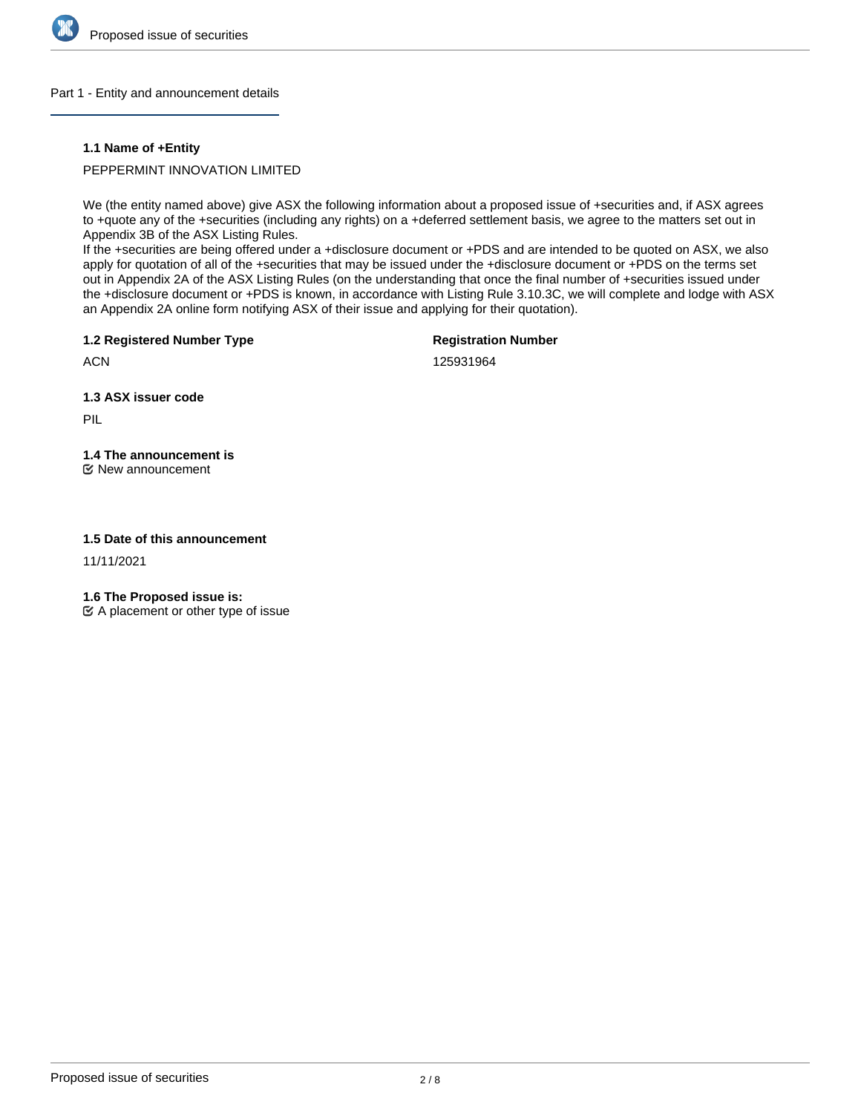

## Part 1 - Entity and announcement details

## **1.1 Name of +Entity**

## PEPPERMINT INNOVATION LIMITED

We (the entity named above) give ASX the following information about a proposed issue of +securities and, if ASX agrees to +quote any of the +securities (including any rights) on a +deferred settlement basis, we agree to the matters set out in Appendix 3B of the ASX Listing Rules.

If the +securities are being offered under a +disclosure document or +PDS and are intended to be quoted on ASX, we also apply for quotation of all of the +securities that may be issued under the +disclosure document or +PDS on the terms set out in Appendix 2A of the ASX Listing Rules (on the understanding that once the final number of +securities issued under the +disclosure document or +PDS is known, in accordance with Listing Rule 3.10.3C, we will complete and lodge with ASX an Appendix 2A online form notifying ASX of their issue and applying for their quotation).

**1.2 Registered Number Type**

**Registration Number**

**ACN** 

125931964

**1.3 ASX issuer code**

PIL

# **1.4 The announcement is**

New announcement

## **1.5 Date of this announcement**

11/11/2021

**1.6 The Proposed issue is:**

 $\mathfrak{C}$  A placement or other type of issue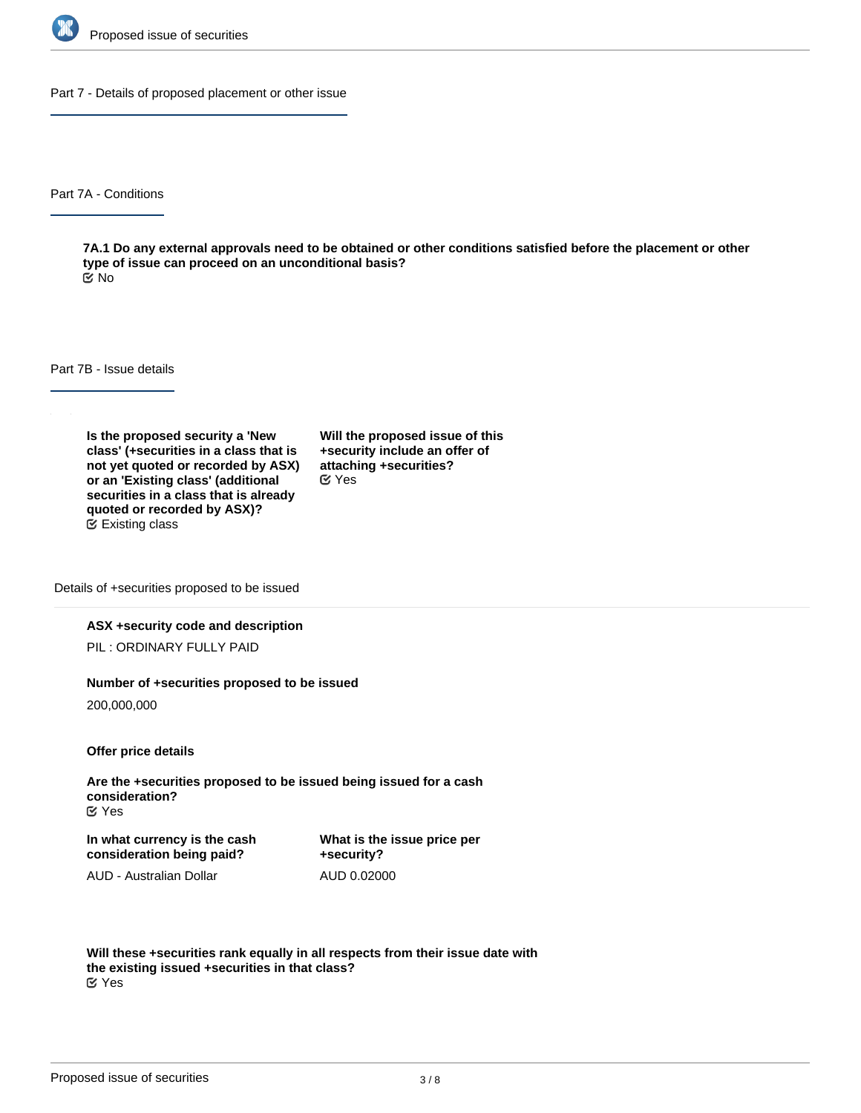

Part 7 - Details of proposed placement or other issue

Part 7A - Conditions

**7A.1 Do any external approvals need to be obtained or other conditions satisfied before the placement or other type of issue can proceed on an unconditional basis?** No

Part 7B - Issue details

**Is the proposed security a 'New class' (+securities in a class that is not yet quoted or recorded by ASX) or an 'Existing class' (additional securities in a class that is already quoted or recorded by ASX)?** Existing class

**Will the proposed issue of this +security include an offer of attaching +securities?** Yes

Details of +securities proposed to be issued

## **ASX +security code and description**

PIL : ORDINARY FULLY PAID

#### **Number of +securities proposed to be issued**

200,000,000

**Offer price details**

**Are the +securities proposed to be issued being issued for a cash consideration?** Yes

**In what currency is the cash consideration being paid?**

**What is the issue price per +security?** AUD 0.02000

AUD - Australian Dollar

**Will these +securities rank equally in all respects from their issue date with the existing issued +securities in that class?** Yes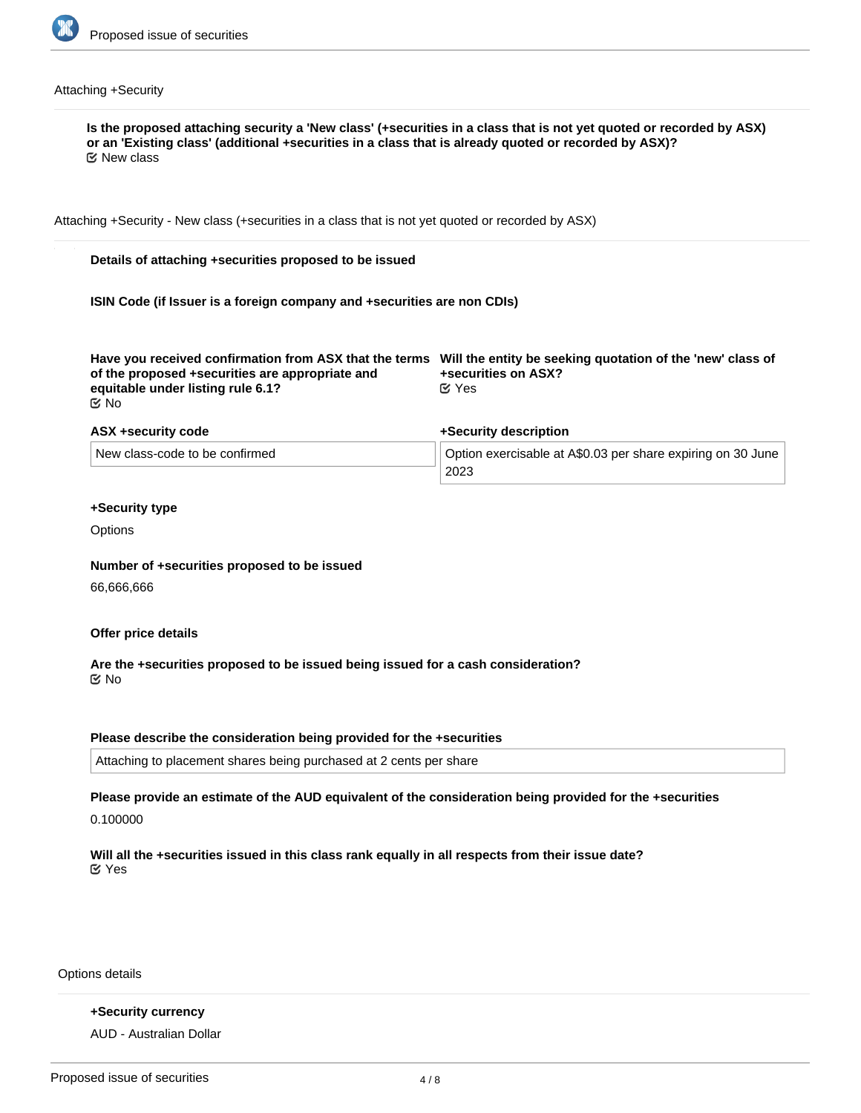

## Attaching +Security

| Is the proposed attaching security a 'New class' (+securities in a class that is not yet quoted or recorded by ASX)<br>or an 'Existing class' (additional +securities in a class that is already quoted or recorded by ASX)?<br>$\mathfrak C$ New class |                                                                     |  |  |  |
|---------------------------------------------------------------------------------------------------------------------------------------------------------------------------------------------------------------------------------------------------------|---------------------------------------------------------------------|--|--|--|
| Attaching +Security - New class (+securities in a class that is not yet quoted or recorded by ASX)                                                                                                                                                      |                                                                     |  |  |  |
| Details of attaching +securities proposed to be issued                                                                                                                                                                                                  |                                                                     |  |  |  |
| ISIN Code (if Issuer is a foreign company and +securities are non CDIs)                                                                                                                                                                                 |                                                                     |  |  |  |
| Have you received confirmation from ASX that the terms Will the entity be seeking quotation of the 'new' class of<br>of the proposed +securities are appropriate and<br>equitable under listing rule 6.1?<br>$\mathfrak{C}$ No                          | +securities on ASX?<br>$\mathfrak{C}$ Yes                           |  |  |  |
| ASX +security code                                                                                                                                                                                                                                      | +Security description                                               |  |  |  |
| New class-code to be confirmed                                                                                                                                                                                                                          | Option exercisable at A\$0.03 per share expiring on 30 June<br>2023 |  |  |  |
| +Security type                                                                                                                                                                                                                                          |                                                                     |  |  |  |
| Options                                                                                                                                                                                                                                                 |                                                                     |  |  |  |
| Number of +securities proposed to be issued                                                                                                                                                                                                             |                                                                     |  |  |  |
| 66,666,666                                                                                                                                                                                                                                              |                                                                     |  |  |  |
| Offer price details                                                                                                                                                                                                                                     |                                                                     |  |  |  |
| Are the +securities proposed to be issued being issued for a cash consideration?<br>$\mathfrak{C}$ No                                                                                                                                                   |                                                                     |  |  |  |
| Please describe the consideration being provided for the +securities                                                                                                                                                                                    |                                                                     |  |  |  |
| Attaching to placement shares being purchased at 2 cents per share                                                                                                                                                                                      |                                                                     |  |  |  |
|                                                                                                                                                                                                                                                         |                                                                     |  |  |  |
| Please provide an estimate of the AUD equivalent of the consideration being provided for the +securities                                                                                                                                                |                                                                     |  |  |  |

Options details

**+Security currency** AUD - Australian Dollar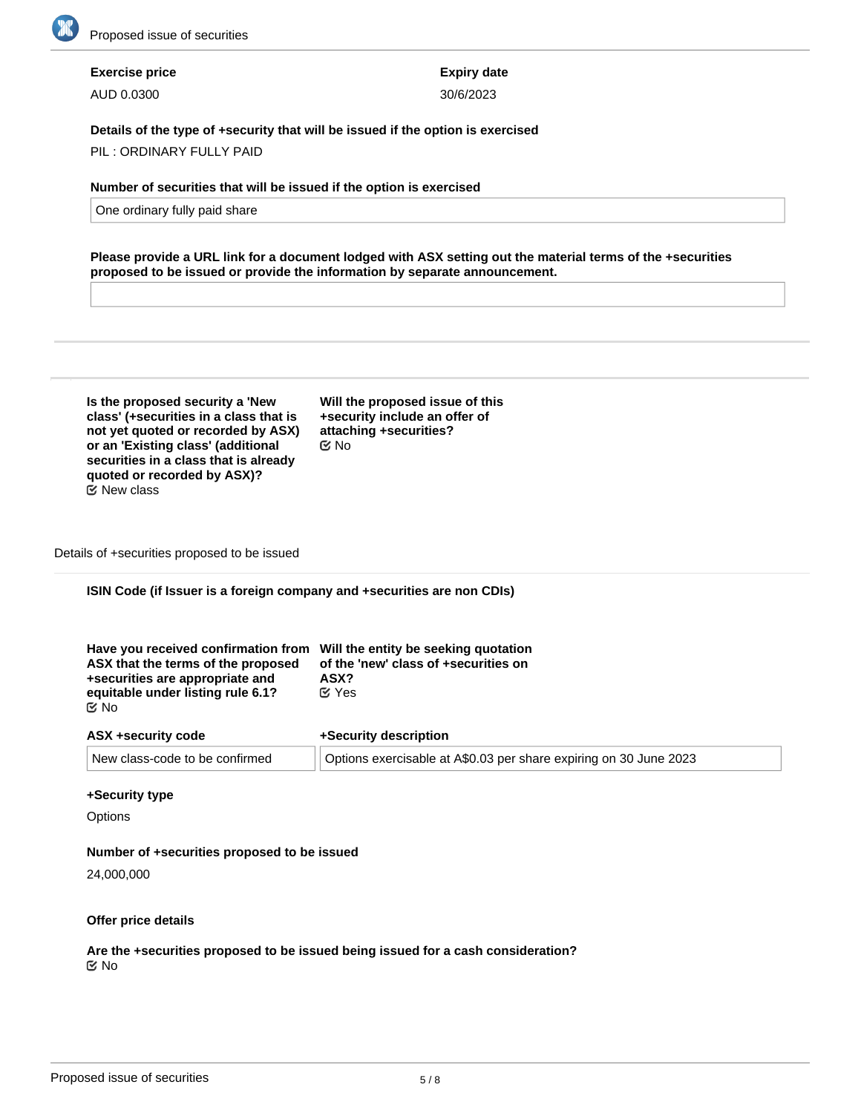

## **Exercise price**

AUD 0.0300

**Expiry date** 30/6/2023

**Details of the type of +security that will be issued if the option is exercised**

PIL : ORDINARY FULLY PAID

## **Number of securities that will be issued if the option is exercised**

One ordinary fully paid share

**Please provide a URL link for a document lodged with ASX setting out the material terms of the +securities proposed to be issued or provide the information by separate announcement.**

**Is the proposed security a 'New class' (+securities in a class that is not yet quoted or recorded by ASX) or an 'Existing class' (additional securities in a class that is already quoted or recorded by ASX)?** New class

**Will the proposed issue of this +security include an offer of attaching +securities?** No

Details of +securities proposed to be issued

## **ISIN Code (if Issuer is a foreign company and +securities are non CDIs)**

| Have you received confirmation from<br>ASX that the terms of the proposed<br>+securities are appropriate and<br>equitable under listing rule 6.1?<br>Mo No | Will the entity be seeking quotation<br>of the 'new' class of +securities on<br>ASX?<br>$\alpha$ Yes |  |
|------------------------------------------------------------------------------------------------------------------------------------------------------------|------------------------------------------------------------------------------------------------------|--|
| ASX +security code                                                                                                                                         | +Security description                                                                                |  |
| New class-code to be confirmed                                                                                                                             | Options exercisable at A\$0.03 per share expiring on 30 June 2023                                    |  |

#### **+Security type**

**Options** 

#### **Number of +securities proposed to be issued**

24,000,000

#### **Offer price details**

## **Are the +securities proposed to be issued being issued for a cash consideration?** No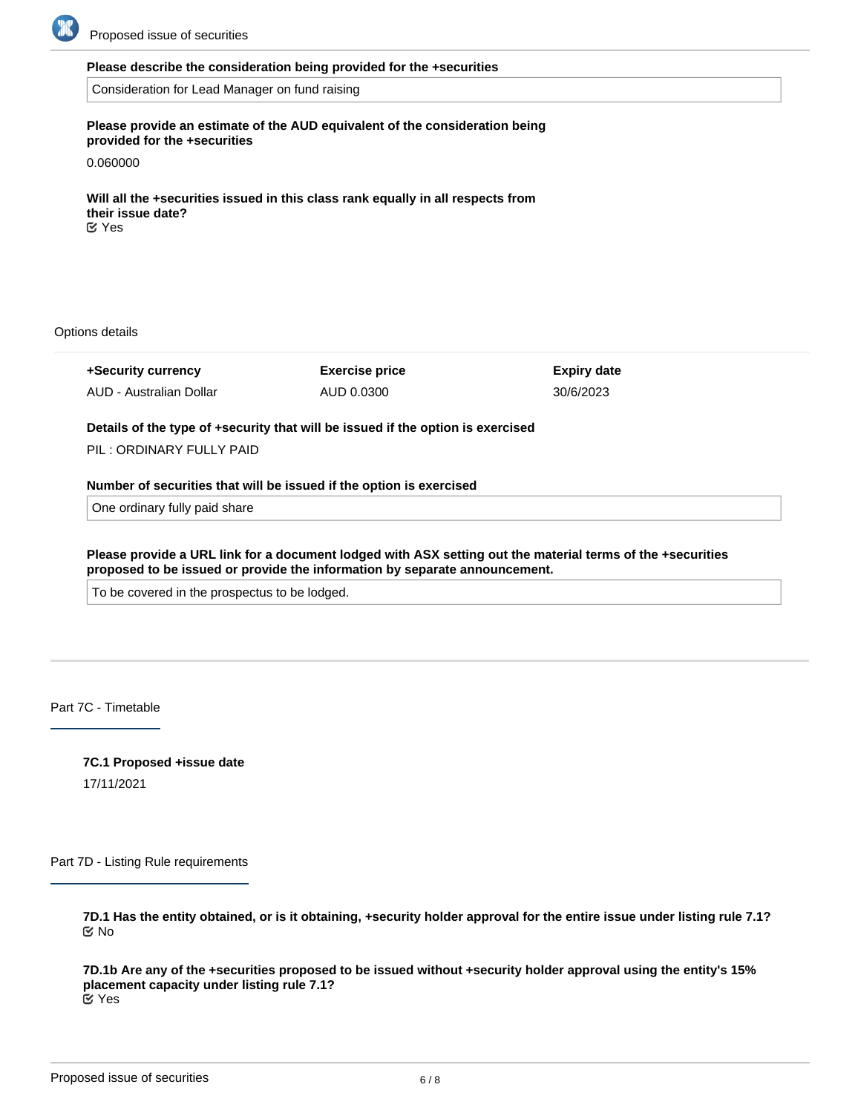

#### **Please describe the consideration being provided for the +securities**

Consideration for Lead Manager on fund raising

**Please provide an estimate of the AUD equivalent of the consideration being provided for the +securities**

0.060000

**Will all the +securities issued in this class rank equally in all respects from their issue date?** Yes

Options details

| +Security currency      | <b>Exercise price</b> | Expiry date |
|-------------------------|-----------------------|-------------|
| AUD - Australian Dollar | AUD 0.0300            | 30/6/2023   |

**Details of the type of +security that will be issued if the option is exercised**

PIL : ORDINARY FULLY PAID

#### **Number of securities that will be issued if the option is exercised**

One ordinary fully paid share

**Please provide a URL link for a document lodged with ASX setting out the material terms of the +securities proposed to be issued or provide the information by separate announcement.**

To be covered in the prospectus to be lodged.

Part 7C - Timetable

**7C.1 Proposed +issue date** 17/11/2021

Part 7D - Listing Rule requirements

**7D.1 Has the entity obtained, or is it obtaining, +security holder approval for the entire issue under listing rule 7.1?** No

**7D.1b Are any of the +securities proposed to be issued without +security holder approval using the entity's 15% placement capacity under listing rule 7.1?** Yes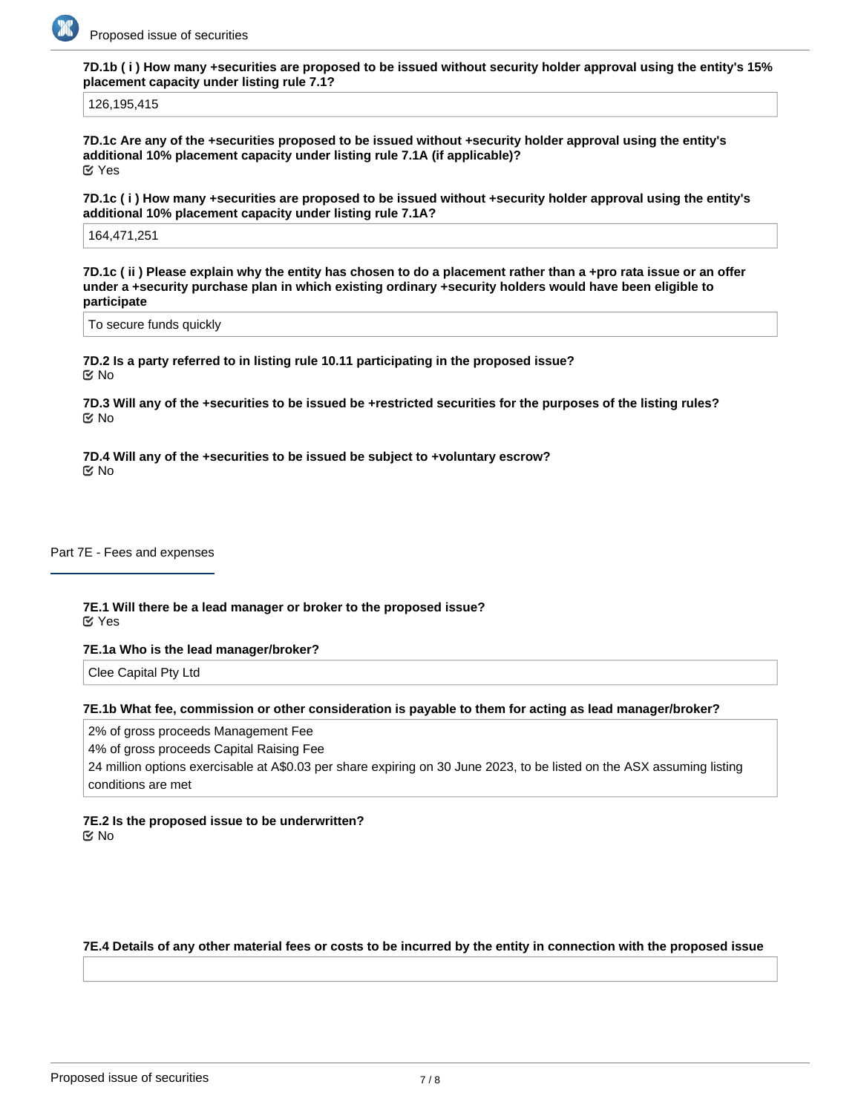

**7D.1b ( i ) How many +securities are proposed to be issued without security holder approval using the entity's 15% placement capacity under listing rule 7.1?**

126,195,415

**7D.1c Are any of the +securities proposed to be issued without +security holder approval using the entity's additional 10% placement capacity under listing rule 7.1A (if applicable)?** Yes

**7D.1c ( i ) How many +securities are proposed to be issued without +security holder approval using the entity's additional 10% placement capacity under listing rule 7.1A?**

164,471,251

**7D.1c ( ii ) Please explain why the entity has chosen to do a placement rather than a +pro rata issue or an offer under a +security purchase plan in which existing ordinary +security holders would have been eligible to participate**

To secure funds quickly

**7D.2 Is a party referred to in listing rule 10.11 participating in the proposed issue?** No

**7D.3 Will any of the +securities to be issued be +restricted securities for the purposes of the listing rules?** No

**7D.4 Will any of the +securities to be issued be subject to +voluntary escrow?** No

Part 7E - Fees and expenses

**7E.1 Will there be a lead manager or broker to the proposed issue?** Yes

#### **7E.1a Who is the lead manager/broker?**

Clee Capital Pty Ltd

#### **7E.1b What fee, commission or other consideration is payable to them for acting as lead manager/broker?**

2% of gross proceeds Management Fee

4% of gross proceeds Capital Raising Fee

24 million options exercisable at A\$0.03 per share expiring on 30 June 2023, to be listed on the ASX assuming listing conditions are met

**7E.2 Is the proposed issue to be underwritten?** No

#### **7E.4 Details of any other material fees or costs to be incurred by the entity in connection with the proposed issue**